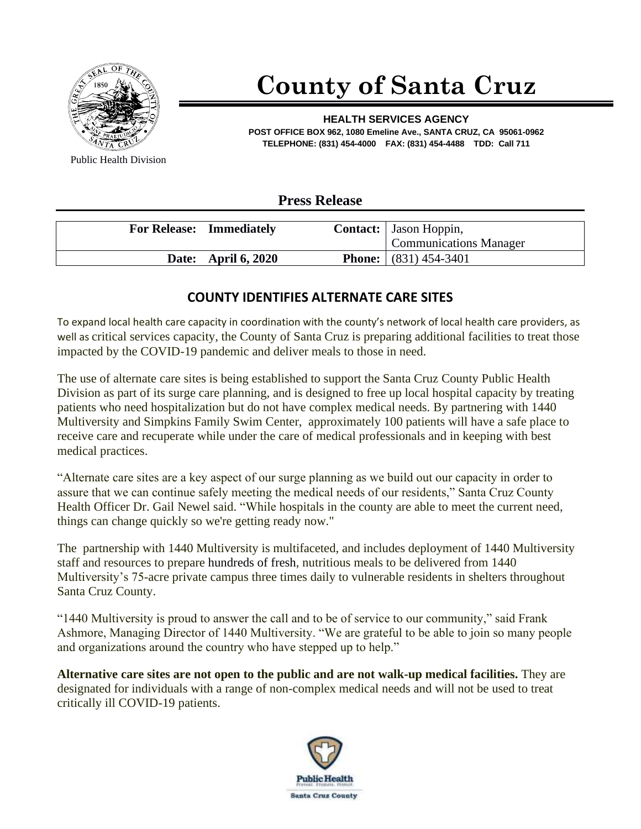

## **County of Santa Cruz**

**HEALTH SERVICES AGENCY POST OFFICE BOX 962, 1080 Emeline Ave., SANTA CRUZ, CA 95061-0962 TELEPHONE: (831) 454-4000 FAX: (831) 454-4488 TDD: Call 711**

Public Health Division

## **Press Release**

| <b>For Release: Immediately</b> | <b>Contact:</b> Jason Hoppin,<br><b>Communications Manager</b> |
|---------------------------------|----------------------------------------------------------------|
| Date: April 6, 2020             | <b>Phone:</b> $(831) 454-3401$                                 |

## **COUNTY IDENTIFIES ALTERNATE CARE SITES**

To expand local health care capacity in coordination with the county's network of local health care providers, as well as critical services capacity, the County of Santa Cruz is preparing additional facilities to treat those impacted by the COVID-19 pandemic and deliver meals to those in need.

The use of alternate care sites is being established to support the Santa Cruz County Public Health Division as part of its surge care planning, and is designed to free up local hospital capacity by treating patients who need hospitalization but do not have complex medical needs. By partnering with 1440 Multiversity and Simpkins Family Swim Center, approximately 100 patients will have a safe place to receive care and recuperate while under the care of medical professionals and in keeping with best medical practices.

"Alternate care sites are a key aspect of our surge planning as we build out our capacity in order to assure that we can continue safely meeting the medical needs of our residents," Santa Cruz County Health Officer Dr. Gail Newel said. "While hospitals in the county are able to meet the current need, things can change quickly so we're getting ready now."

The partnership with 1440 Multiversity is multifaceted, and includes deployment of 1440 Multiversity staff and resources to prepare hundreds of fresh, nutritious meals to be delivered from 1440 Multiversity's 75-acre private campus three times daily to vulnerable residents in shelters throughout Santa Cruz County.

"1440 Multiversity is proud to answer the call and to be of service to our community," said Frank Ashmore, Managing Director of 1440 Multiversity. "We are grateful to be able to join so many people and organizations around the country who have stepped up to help."

**Alternative care sites are not open to the public and are not walk-up medical facilities.** They are designated for individuals with a range of non-complex medical needs and will not be used to treat critically ill COVID-19 patients.